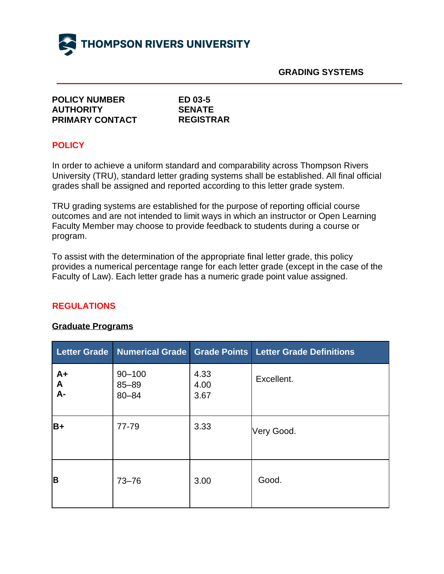

**GRADING SYSTEMS**

| <b>POLICY NUMBER</b>   |
|------------------------|
| <b>AUTHORITY</b>       |
| <b>PRIMARY CONTACT</b> |

**ED 03-5 SENATE REGISTRAR**

#### **POLICY**

In order to achieve a uniform standard and comparability across Thompson Rivers University (TRU), standard letter grading systems shall be established. All final official grades shall be assigned and reported according to this letter grade system.

TRU grading systems are established for the purpose of reporting official course outcomes and are not intended to limit ways in which an instructor or Open Learning Faculty Member may choose to provide feedback to students during a course or program.

To assist with the determination of the appropriate final letter grade, this policy provides a numerical percentage range for each letter grade (except in the case of the Faculty of Law). Each letter grade has a numeric grade point value assigned.

#### **REGULATIONS**

#### **Graduate Programs**

|                 |                                      |                      | Letter Grade   Numerical Grade   Grade Points   Letter Grade Definitions |
|-----------------|--------------------------------------|----------------------|--------------------------------------------------------------------------|
| $A+$<br>A<br>A- | $90 - 100$<br>$85 - 89$<br>$80 - 84$ | 4.33<br>4.00<br>3.67 | Excellent.                                                               |
| $B+$            | 77-79                                | 3.33                 | Very Good.                                                               |
| B               | $73 - 76$                            | 3.00                 | Good.                                                                    |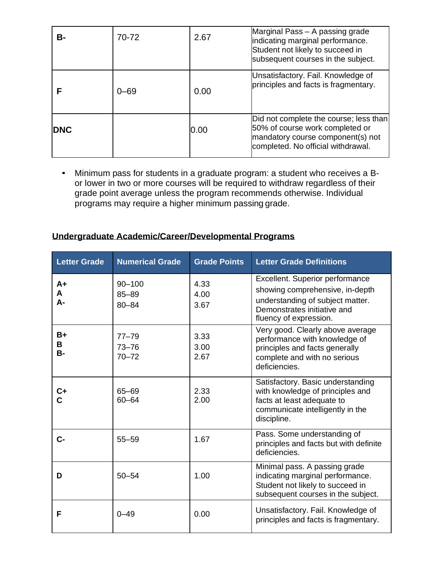| в-         | 70-72 | 2.67 | Marginal Pass - A passing grade<br>indicating marginal performance.<br>Student not likely to succeed in<br>subsequent courses in the subject.        |
|------------|-------|------|------------------------------------------------------------------------------------------------------------------------------------------------------|
|            | 0–69  | 0.00 | Unsatisfactory. Fail. Knowledge of<br>principles and facts is fragmentary.                                                                           |
| <b>DNC</b> |       | 0.00 | Did not complete the course; less than<br>50% of course work completed or<br>mandatory course component(s) not<br>completed. No official withdrawal. |

• Minimum pass for students in a graduate program: a student who receives a Bor lower in two or more courses will be required to withdraw regardless of their grade point average unless the program recommends otherwise. Individual programs may require a higher minimum passing grade.

### **Undergraduate Academic/Career/Developmental Programs**

| <b>Letter Grade</b> | <b>Numerical Grade</b>               | <b>Grade Points</b>  | <b>Letter Grade Definitions</b>                                                                                                                                 |
|---------------------|--------------------------------------|----------------------|-----------------------------------------------------------------------------------------------------------------------------------------------------------------|
| $A+$<br>A<br>А-     | $90 - 100$<br>$85 - 89$<br>$80 - 84$ | 4.33<br>4.00<br>3.67 | Excellent. Superior performance<br>showing comprehensive, in-depth<br>understanding of subject matter.<br>Demonstrates initiative and<br>fluency of expression. |
| B+<br>В<br>в-       | $77 - 79$<br>$73 - 76$<br>$70 - 72$  | 3.33<br>3.00<br>2.67 | Very good. Clearly above average<br>performance with knowledge of<br>principles and facts generally<br>complete and with no serious<br>deficiencies.            |
| $c_{+}$<br>Ċ.       | 65-69<br>$60 - 64$                   | 2.33<br>2.00         | Satisfactory. Basic understanding<br>with knowledge of principles and<br>facts at least adequate to<br>communicate intelligently in the<br>discipline.          |
| $C -$               | $55 - 59$                            | 1.67                 | Pass. Some understanding of<br>principles and facts but with definite<br>deficiencies.                                                                          |
| D                   | $50 - 54$                            | 1.00                 | Minimal pass. A passing grade<br>indicating marginal performance.<br>Student not likely to succeed in<br>subsequent courses in the subject.                     |
| F                   | $0 - 49$                             | 0.00                 | Unsatisfactory. Fail. Knowledge of<br>principles and facts is fragmentary.                                                                                      |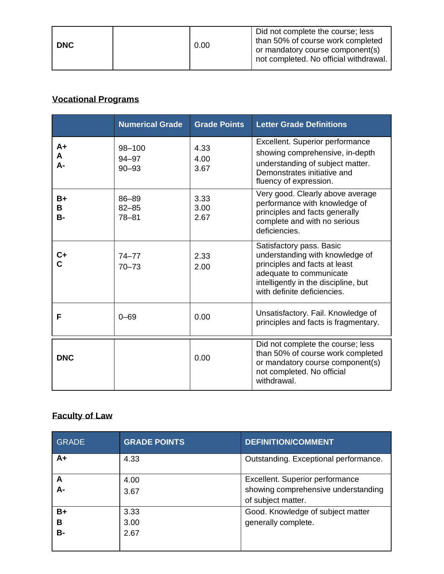| <b>DNC</b> |  | 0.00 | Did not complete the course; less<br>than 50% of course work completed<br>or mandatory course component(s)<br>not completed. No official withdrawal. |
|------------|--|------|------------------------------------------------------------------------------------------------------------------------------------------------------|
|------------|--|------|------------------------------------------------------------------------------------------------------------------------------------------------------|

## **Vocational Programs**

|                        | <b>Numerical Grade</b>           | <b>Grade Points</b>  | <b>Letter Grade Definitions</b>                                                                                                                                                                |
|------------------------|----------------------------------|----------------------|------------------------------------------------------------------------------------------------------------------------------------------------------------------------------------------------|
| A+<br>A<br>А-          | $98 - 100$<br>94-97<br>$90 - 93$ | 4.33<br>4.00<br>3.67 | <b>Excellent. Superior performance</b><br>showing comprehensive, in-depth<br>understanding of subject matter.<br>Demonstrates initiative and<br>fluency of expression.                         |
| $B+$<br>В<br><b>B-</b> | 86-89<br>$82 - 85$<br>$78 - 81$  | 3.33<br>3.00<br>2.67 | Very good. Clearly above average<br>performance with knowledge of<br>principles and facts generally<br>complete and with no serious<br>deficiencies.                                           |
| $\mathsf{c}_+$         | $74 - 77$<br>$70 - 73$           | 2.33<br>2.00         | Satisfactory pass. Basic<br>understanding with knowledge of<br>principles and facts at least<br>adequate to communicate<br>intelligently in the discipline, but<br>with definite deficiencies. |
| F                      | $0 - 69$                         | 0.00                 | Unsatisfactory. Fail. Knowledge of<br>principles and facts is fragmentary.                                                                                                                     |
| <b>DNC</b>             |                                  | 0.00                 | Did not complete the course; less<br>than 50% of course work completed<br>or mandatory course component(s)<br>not completed. No official<br>withdrawal.                                        |

## **Faculty of Law**

| <b>GRADE</b>  | <b>GRADE POINTS</b>  | <b>DEFINITION/COMMENT</b>                                                                    |
|---------------|----------------------|----------------------------------------------------------------------------------------------|
| $A+$          | 4.33                 | Outstanding. Exceptional performance.                                                        |
| A<br>А-       | 4.00<br>3.67         | Excellent. Superior performance<br>showing comprehensive understanding<br>of subject matter. |
| B+<br>в<br>В- | 3.33<br>3.00<br>2.67 | Good. Knowledge of subject matter<br>generally complete.                                     |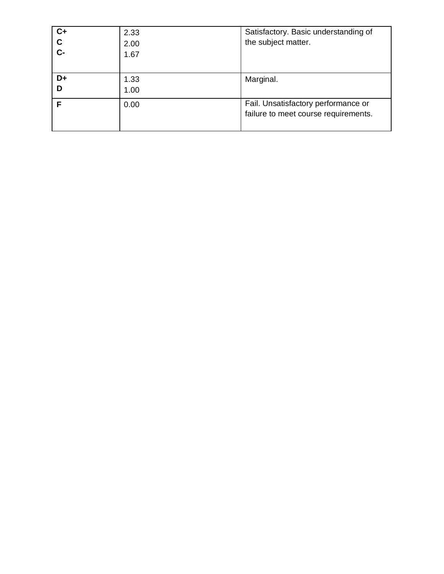| $C+$  | 2.33 | Satisfactory. Basic understanding of |
|-------|------|--------------------------------------|
| C     | 2.00 | the subject matter.                  |
| $C -$ | 1.67 |                                      |
|       |      |                                      |
| D+    | 1.33 | Marginal.                            |
|       | 1.00 |                                      |
|       | 0.00 | Fail. Unsatisfactory performance or  |
|       |      | failure to meet course requirements. |
|       |      |                                      |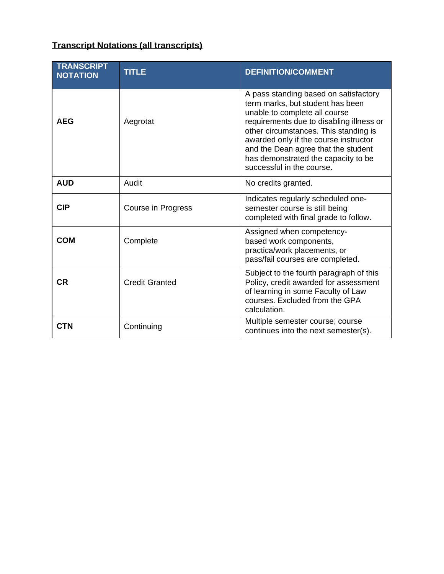# **Transcript Notations (all transcripts)**

| <b>TRANSCRIPT</b><br><b>NOTATION</b> | <b>TITLE</b>          | <b>DEFINITION/COMMENT</b>                                                                                                                                                                                                                                                                                                                           |
|--------------------------------------|-----------------------|-----------------------------------------------------------------------------------------------------------------------------------------------------------------------------------------------------------------------------------------------------------------------------------------------------------------------------------------------------|
| <b>AEG</b>                           | Aegrotat              | A pass standing based on satisfactory<br>term marks, but student has been<br>unable to complete all course<br>requirements due to disabling illness or<br>other circumstances. This standing is<br>awarded only if the course instructor<br>and the Dean agree that the student<br>has demonstrated the capacity to be<br>successful in the course. |
| <b>AUD</b>                           | Audit                 | No credits granted.                                                                                                                                                                                                                                                                                                                                 |
| <b>CIP</b>                           | Course in Progress    | Indicates regularly scheduled one-<br>semester course is still being<br>completed with final grade to follow.                                                                                                                                                                                                                                       |
| <b>COM</b>                           | Complete              | Assigned when competency-<br>based work components,<br>practica/work placements, or<br>pass/fail courses are completed.                                                                                                                                                                                                                             |
| <b>CR</b>                            | <b>Credit Granted</b> | Subject to the fourth paragraph of this<br>Policy, credit awarded for assessment<br>of learning in some Faculty of Law<br>courses. Excluded from the GPA<br>calculation.                                                                                                                                                                            |
| <b>CTN</b>                           | Continuing            | Multiple semester course; course<br>continues into the next semester(s).                                                                                                                                                                                                                                                                            |